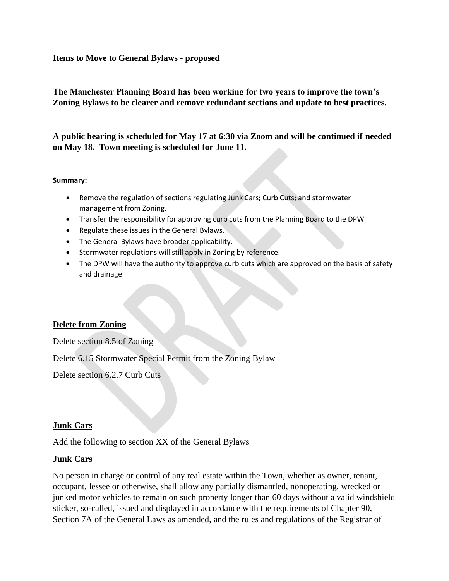## **Items to Move to General Bylaws - proposed**

## **The Manchester Planning Board has been working for two years to improve the town's Zoning Bylaws to be clearer and remove redundant sections and update to best practices.**

**A public hearing is scheduled for May 17 at 6:30 via Zoom and will be continued if needed on May 18. Town meeting is scheduled for June 11.**

#### **Summary:**

- Remove the regulation of sections regulating Junk Cars; Curb Cuts; and stormwater management from Zoning.
- Transfer the responsibility for approving curb cuts from the Planning Board to the DPW
- Regulate these issues in the General Bylaws.
- The General Bylaws have broader applicability.
- Stormwater regulations will still apply in Zoning by reference.
- The DPW will have the authority to approve curb cuts which are approved on the basis of safety and drainage.

## **Delete from Zoning**

Delete section 8.5 of Zoning

Delete 6.15 Stormwater Special Permit from the Zoning Bylaw

Delete section 6.2.7 Curb Cuts

## **Junk Cars**

Add the following to section XX of the General Bylaws

## **Junk Cars**

No person in charge or control of any real estate within the Town, whether as owner, tenant, occupant, lessee or otherwise, shall allow any partially dismantled, nonoperating, wrecked or junked motor vehicles to remain on such property longer than 60 days without a valid windshield sticker, so-called, issued and displayed in accordance with the requirements of Chapter 90, Section 7A of the General Laws as amended, and the rules and regulations of the Registrar of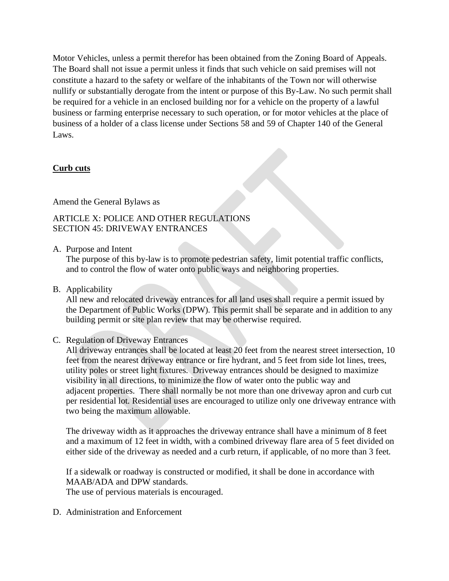Motor Vehicles, unless a permit therefor has been obtained from the Zoning Board of Appeals. The Board shall not issue a permit unless it finds that such vehicle on said premises will not constitute a hazard to the safety or welfare of the inhabitants of the Town nor will otherwise nullify or substantially derogate from the intent or purpose of this By-Law. No such permit shall be required for a vehicle in an enclosed building nor for a vehicle on the property of a lawful business or farming enterprise necessary to such operation, or for motor vehicles at the place of business of a holder of a class license under Sections 58 and 59 of Chapter 140 of the General Laws.

# **Curb cuts**

## Amend the General Bylaws as

# ARTICLE X: POLICE AND OTHER REGULATIONS SECTION 45: DRIVEWAY ENTRANCES

A. Purpose and Intent

The purpose of this by-law is to promote pedestrian safety, limit potential traffic conflicts, and to control the flow of water onto public ways and neighboring properties.

B. Applicability

All new and relocated driveway entrances for all land uses shall require a permit issued by the Department of Public Works (DPW). This permit shall be separate and in addition to any building permit or site plan review that may be otherwise required.

## C. Regulation of Driveway Entrances

All driveway entrances shall be located at least 20 feet from the nearest street intersection, 10 feet from the nearest driveway entrance or fire hydrant, and 5 feet from side lot lines, trees, utility poles or street light fixtures. Driveway entrances should be designed to maximize visibility in all directions, to minimize the flow of water onto the public way and adjacent properties. There shall normally be not more than one driveway apron and curb cut per residential lot. Residential uses are encouraged to utilize only one driveway entrance with two being the maximum allowable.

The driveway width as it approaches the driveway entrance shall have a minimum of 8 feet and a maximum of 12 feet in width, with a combined driveway flare area of 5 feet divided on either side of the driveway as needed and a curb return, if applicable, of no more than 3 feet.

If a sidewalk or roadway is constructed or modified, it shall be done in accordance with MAAB/ADA and DPW standards. The use of pervious materials is encouraged.

D. Administration and Enforcement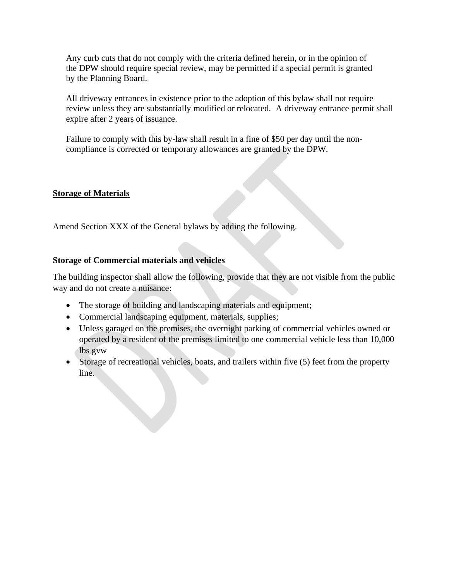Any curb cuts that do not comply with the criteria defined herein, or in the opinion of the DPW should require special review, may be permitted if a special permit is granted by the Planning Board.

All driveway entrances in existence prior to the adoption of this bylaw shall not require review unless they are substantially modified or relocated. A driveway entrance permit shall expire after 2 years of issuance.

Failure to comply with this by-law shall result in a fine of \$50 per day until the noncompliance is corrected or temporary allowances are granted by the DPW.

## **Storage of Materials**

Amend Section XXX of the General bylaws by adding the following.

## **Storage of Commercial materials and vehicles**

The building inspector shall allow the following, provide that they are not visible from the public way and do not create a nuisance:

- The storage of building and landscaping materials and equipment;
- Commercial landscaping equipment, materials, supplies;
- Unless garaged on the premises, the overnight parking of commercial vehicles owned or operated by a resident of the premises limited to one commercial vehicle less than 10,000 lbs gvw
- Storage of recreational vehicles, boats, and trailers within five (5) feet from the property line.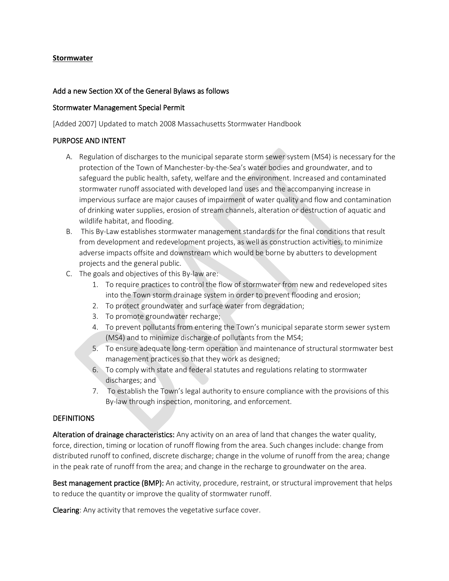#### **Stormwater**

#### Add a new Section XX of the General Bylaws as follows

#### Stormwater Management Special Permit

[Added 2007] Updated to match 2008 Massachusetts Stormwater Handbook

#### PURPOSE AND INTENT

- A. Regulation of discharges to the municipal separate storm sewer system (MS4) is necessary for the protection of the Town of Manchester-by-the-Sea's water bodies and groundwater, and to safeguard the public health, safety, welfare and the environment. Increased and contaminated stormwater runoff associated with developed land uses and the accompanying increase in impervious surface are major causes of impairment of water quality and flow and contamination of drinking water supplies, erosion of stream channels, alteration or destruction of aquatic and wildlife habitat, and flooding.
- B. This By-Law establishes stormwater management standards for the final conditions that result from development and redevelopment projects, as well as construction activities, to minimize adverse impacts offsite and downstream which would be borne by abutters to development projects and the general public.
- C. The goals and objectives of this By-law are:
	- 1. To require practices to control the flow of stormwater from new and redeveloped sites into the Town storm drainage system in order to prevent flooding and erosion;
	- 2. To protect groundwater and surface water from degradation;
	- 3. To promote groundwater recharge;
	- 4. To prevent pollutants from entering the Town's municipal separate storm sewer system (MS4) and to minimize discharge of pollutants from the MS4;
	- 5. To ensure adequate long-term operation and maintenance of structural stormwater best management practices so that they work as designed;
	- 6. To comply with state and federal statutes and regulations relating to stormwater discharges; and
	- 7. To establish the Town's legal authority to ensure compliance with the provisions of this By-law through inspection, monitoring, and enforcement.

#### **DEFINITIONS**

Alteration of drainage characteristics: Any activity on an area of land that changes the water quality, force, direction, timing or location of runoff flowing from the area. Such changes include: change from distributed runoff to confined, discrete discharge; change in the volume of runoff from the area; change in the peak rate of runoff from the area; and change in the recharge to groundwater on the area.

Best management practice (BMP): An activity, procedure, restraint, or structural improvement that helps to reduce the quantity or improve the quality of stormwater runoff.

Clearing: Any activity that removes the vegetative surface cover.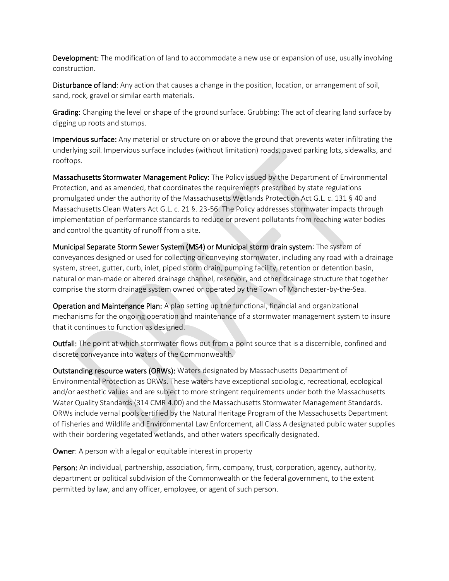Development: The modification of land to accommodate a new use or expansion of use, usually involving construction.

Disturbance of land: Any action that causes a change in the position, location, or arrangement of soil, sand, rock, gravel or similar earth materials.

Grading: Changing the level or shape of the ground surface. Grubbing: The act of clearing land surface by digging up roots and stumps.

Impervious surface: Any material or structure on or above the ground that prevents water infiltrating the underlying soil. Impervious surface includes (without limitation) roads, paved parking lots, sidewalks, and rooftops.

Massachusetts Stormwater Management Policy: The Policy issued by the Department of Environmental Protection, and as amended, that coordinates the requirements prescribed by state regulations promulgated under the authority of the Massachusetts Wetlands Protection Act G.L. c. 131 § 40 and Massachusetts Clean Waters Act G.L. c. 21 §. 23-56. The Policy addresses stormwater impacts through implementation of performance standards to reduce or prevent pollutants from reaching water bodies and control the quantity of runoff from a site.

Municipal Separate Storm Sewer System (MS4) or Municipal storm drain system: The system of conveyances designed or used for collecting or conveying stormwater, including any road with a drainage system, street, gutter, curb, inlet, piped storm drain, pumping facility, retention or detention basin, natural or man-made or altered drainage channel, reservoir, and other drainage structure that together comprise the storm drainage system owned or operated by the Town of Manchester-by-the-Sea.

Operation and Maintenance Plan: A plan setting up the functional, financial and organizational mechanisms for the ongoing operation and maintenance of a stormwater management system to insure that it continues to function as designed.

Outfall: The point at which stormwater flows out from a point source that is a discernible, confined and discrete conveyance into waters of the Commonwealth.

Outstanding resource waters (ORWs): Waters designated by Massachusetts Department of Environmental Protection as ORWs. These waters have exceptional sociologic, recreational, ecological and/or aesthetic values and are subject to more stringent requirements under both the Massachusetts Water Quality Standards (314 CMR 4.00) and the Massachusetts Stormwater Management Standards. ORWs include vernal pools certified by the Natural Heritage Program of the Massachusetts Department of Fisheries and Wildlife and Environmental Law Enforcement, all Class A designated public water supplies with their bordering vegetated wetlands, and other waters specifically designated.

Owner: A person with a legal or equitable interest in property

Person: An individual, partnership, association, firm, company, trust, corporation, agency, authority, department or political subdivision of the Commonwealth or the federal government, to the extent permitted by law, and any officer, employee, or agent of such person.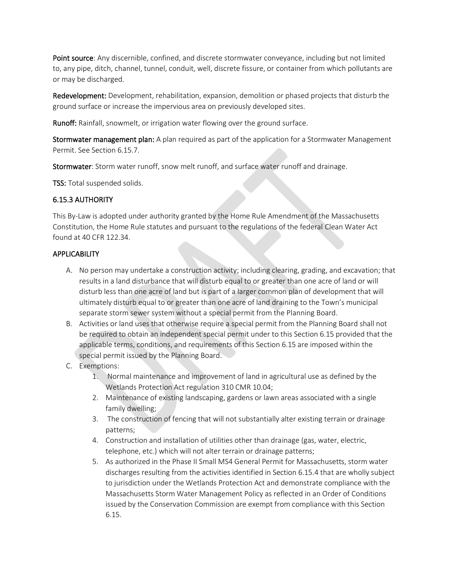Point source: Any discernible, confined, and discrete stormwater conveyance, including but not limited to, any pipe, ditch, channel, tunnel, conduit, well, discrete fissure, or container from which pollutants are or may be discharged.

Redevelopment: Development, rehabilitation, expansion, demolition or phased projects that disturb the ground surface or increase the impervious area on previously developed sites.

Runoff: Rainfall, snowmelt, or irrigation water flowing over the ground surface.

Stormwater management plan: A plan required as part of the application for a Stormwater Management Permit. See Section 6.15.7.

Stormwater: Storm water runoff, snow melt runoff, and surface water runoff and drainage.

TSS: Total suspended solids.

## 6.15.3 AUTHORITY

This By-Law is adopted under authority granted by the Home Rule Amendment of the Massachusetts Constitution, the Home Rule statutes and pursuant to the regulations of the federal Clean Water Act found at 40 CFR 122.34.

## **APPLICABILITY**

- A. No person may undertake a construction activity; including clearing, grading, and excavation; that results in a land disturbance that will disturb equal to or greater than one acre of land or will disturb less than one acre of land but is part of a larger common plan of development that will ultimately disturb equal to or greater than one acre of land draining to the Town's municipal separate storm sewer system without a special permit from the Planning Board.
- B. Activities or land uses that otherwise require a special permit from the Planning Board shall not be required to obtain an independent special permit under to this Section 6.15 provided that the applicable terms, conditions, and requirements of this Section 6.15 are imposed within the special permit issued by the Planning Board.
- C. Exemptions:
	- 1. Normal maintenance and improvement of land in agricultural use as defined by the Wetlands Protection Act regulation 310 CMR 10.04;
	- 2. Maintenance of existing landscaping, gardens or lawn areas associated with a single family dwelling;
	- 3. The construction of fencing that will not substantially alter existing terrain or drainage patterns;
	- 4. Construction and installation of utilities other than drainage (gas, water, electric, telephone, etc.) which will not alter terrain or drainage patterns;
	- 5. As authorized in the Phase II Small MS4 General Permit for Massachusetts, storm water discharges resulting from the activities identified in Section 6.15.4 that are wholly subject to jurisdiction under the Wetlands Protection Act and demonstrate compliance with the Massachusetts Storm Water Management Policy as reflected in an Order of Conditions issued by the Conservation Commission are exempt from compliance with this Section 6.15.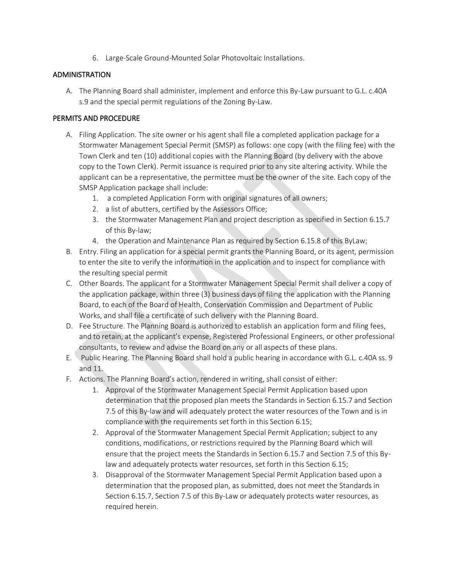6. Large-Scale Ground-Mounted Solar Photovoltaic Installations.

#### ADMINISTRATION

A. The Planning Board shall administer, implement and enforce this By-Law pursuant to G.L. c.40A s.9 and the special permit regulations of the Zoning By-Law.

### PERMITS AND PROCEDURE

- A. Filing Application. The site owner or his agent shall file a completed application package for a Stormwater Management Special Permit (SMSP) as follows: one copy (with the filing fee) with the Town Clerk and ten (10) additional copies with the Planning Board (by delivery with the above copy to the Town Clerk). Permit issuance is required prior to any site altering activity. While the applicant can be a representative, the permittee must be the owner of the site. Each copy of the SMSP Application package shall include:
	- 1. a completed Application Form with original signatures of all owners;
	- 2. a list of abutters, certified by the Assessors Office;
	- 3. the Stormwater Management Plan and project description as specified in Section 6.15.7 of this By-law;
	- 4. the Operation and Maintenance Plan as required by Section 6.15.8 of this ByLaw;
- B. Entry. Filing an application for a special permit grants the Planning Board, or its agent, permission to enter the site to verify the information in the application and to inspect for compliance with the resulting special permit
- C. Other Boards. The applicant for a Stormwater Management Special Permit shall deliver a copy of the application package, within three (3) business days of filing the application with the Planning Board, to each of the Board of Health, Conservation Commission and Department of Public Works, and shall file a certificate of such delivery with the Planning Board.
- D. Fee Structure. The Planning Board is authorized to establish an application form and filing fees, and to retain, at the applicant's expense, Registered Professional Engineers, or other professional consultants, to review and advise the Board on any or all aspects of these plans.
- E. Public Hearing. The Planning Board shall hold a public hearing in accordance with G.L. c.40A ss. 9 and 11.
- F. Actions. The Planning Board's action, rendered in writing, shall consist of either:
	- 1. Approval of the Stormwater Management Special Permit Application based upon determination that the proposed plan meets the Standards in Section 6.15.7 and Section 7.5 of this By-law and will adequately protect the water resources of the Town and is in compliance with the requirements set forth in this Section 6.15;
	- 2. Approval of the Stormwater Management Special Permit Application; subject to any conditions, modifications, or restrictions required by the Planning Board which will ensure that the project meets the Standards in Section 6.15.7 and Section 7.5 of this Bylaw and adequately protects water resources, set forth in this Section 6.15;
	- 3. Disapproval of the Stormwater Management Special Permit Application based upon a determination that the proposed plan, as submitted, does not meet the Standards in Section 6.15.7, Section 7.5 of this By-Law or adequately protects water resources, as required herein.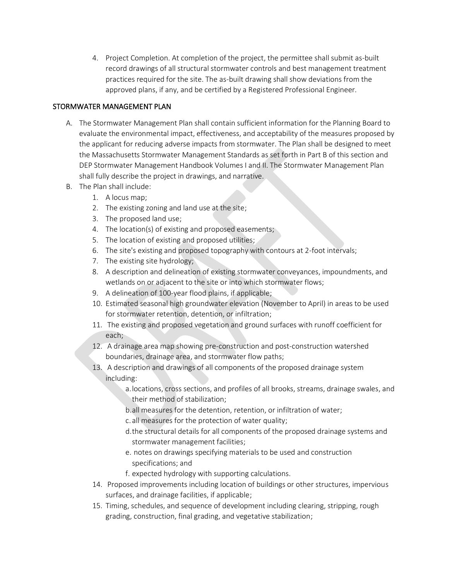4. Project Completion. At completion of the project, the permittee shall submit as-built record drawings of all structural stormwater controls and best management treatment practices required for the site. The as-built drawing shall show deviations from the approved plans, if any, and be certified by a Registered Professional Engineer.

## STORMWATER MANAGEMENT PLAN

- A. The Stormwater Management Plan shall contain sufficient information for the Planning Board to evaluate the environmental impact, effectiveness, and acceptability of the measures proposed by the applicant for reducing adverse impacts from stormwater. The Plan shall be designed to meet the Massachusetts Stormwater Management Standards as set forth in Part B of this section and DEP Stormwater Management Handbook Volumes I and II. The Stormwater Management Plan shall fully describe the project in drawings, and narrative.
- B. The Plan shall include:
	- 1. A locus map;
	- 2. The existing zoning and land use at the site;
	- 3. The proposed land use;
	- 4. The location(s) of existing and proposed easements;
	- 5. The location of existing and proposed utilities;
	- 6. The site's existing and proposed topography with contours at 2-foot intervals;
	- 7. The existing site hydrology;
	- 8. A description and delineation of existing stormwater conveyances, impoundments, and wetlands on or adjacent to the site or into which stormwater flows;
	- 9. A delineation of 100-year flood plains, if applicable;
	- 10. Estimated seasonal high groundwater elevation (November to April) in areas to be used for stormwater retention, detention, or infiltration;
	- 11. The existing and proposed vegetation and ground surfaces with runoff coefficient for each;
	- 12. A drainage area map showing pre-construction and post-construction watershed boundaries, drainage area, and stormwater flow paths;
	- 13. A description and drawings of all components of the proposed drainage system including:
		- a.locations, cross sections, and profiles of all brooks, streams, drainage swales, and their method of stabilization;
		- b.all measures for the detention, retention, or infiltration of water;
		- c. all measures for the protection of water quality;
		- d.the structural details for all components of the proposed drainage systems and stormwater management facilities;
		- e. notes on drawings specifying materials to be used and construction specifications; and
		- f. expected hydrology with supporting calculations.
	- 14. Proposed improvements including location of buildings or other structures, impervious surfaces, and drainage facilities, if applicable;
	- 15. Timing, schedules, and sequence of development including clearing, stripping, rough grading, construction, final grading, and vegetative stabilization;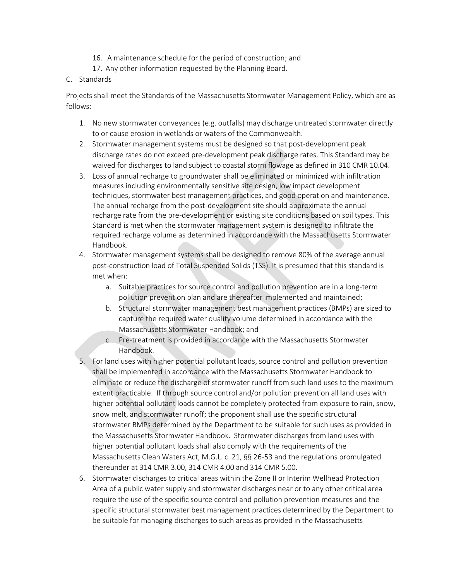- 16. A maintenance schedule for the period of construction; and
- 17. Any other information requested by the Planning Board.
- C. Standards

Projects shall meet the Standards of the Massachusetts Stormwater Management Policy, which are as follows:

- 1. No new stormwater conveyances (e.g. outfalls) may discharge untreated stormwater directly to or cause erosion in wetlands or waters of the Commonwealth.
- 2. Stormwater management systems must be designed so that post-development peak discharge rates do not exceed pre-development peak discharge rates. This Standard may be waived for discharges to land subject to coastal storm flowage as defined in 310 CMR 10.04.
- 3. Loss of annual recharge to groundwater shall be eliminated or minimized with infiltration measures including environmentally sensitive site design, low impact development techniques, stormwater best management practices, and good operation and maintenance. The annual recharge from the post-development site should approximate the annual recharge rate from the pre-development or existing site conditions based on soil types. This Standard is met when the stormwater management system is designed to infiltrate the required recharge volume as determined in accordance with the Massachusetts Stormwater Handbook.
- 4. Stormwater management systems shall be designed to remove 80% of the average annual post-construction load of Total Suspended Solids (TSS). It is presumed that this standard is met when:
	- a. Suitable practices for source control and pollution prevention are in a long-term pollution prevention plan and are thereafter implemented and maintained;
	- b. Structural stormwater management best management practices (BMPs) are sized to capture the required water quality volume determined in accordance with the Massachusetts Stormwater Handbook; and
	- c. Pre-treatment is provided in accordance with the Massachusetts Stormwater Handbook.
- 5. For land uses with higher potential pollutant loads, source control and pollution prevention shall be implemented in accordance with the Massachusetts Stormwater Handbook to eliminate or reduce the discharge of stormwater runoff from such land uses to the maximum extent practicable. If through source control and/or pollution prevention all land uses with higher potential pollutant loads cannot be completely protected from exposure to rain, snow, snow melt, and stormwater runoff; the proponent shall use the specific structural stormwater BMPs determined by the Department to be suitable for such uses as provided in the Massachusetts Stormwater Handbook. Stormwater discharges from land uses with higher potential pollutant loads shall also comply with the requirements of the Massachusetts Clean Waters Act, M.G.L. c. 21, §§ 26-53 and the regulations promulgated thereunder at 314 CMR 3.00, 314 CMR 4.00 and 314 CMR 5.00.
- 6. Stormwater discharges to critical areas within the Zone II or Interim Wellhead Protection Area of a public water supply and stormwater discharges near or to any other critical area require the use of the specific source control and pollution prevention measures and the specific structural stormwater best management practices determined by the Department to be suitable for managing discharges to such areas as provided in the Massachusetts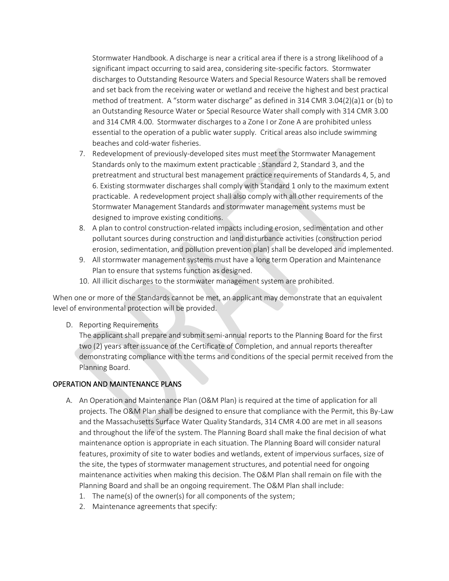Stormwater Handbook. A discharge is near a critical area if there is a strong likelihood of a significant impact occurring to said area, considering site-specific factors. Stormwater discharges to Outstanding Resource Waters and Special Resource Waters shall be removed and set back from the receiving water or wetland and receive the highest and best practical method of treatment. A "storm water discharge" as defined in 314 CMR 3.04(2)(a)1 or (b) to an Outstanding Resource Water or Special Resource Water shall comply with 314 CMR 3.00 and 314 CMR 4.00. Stormwater discharges to a Zone I or Zone A are prohibited unless essential to the operation of a public water supply. Critical areas also include swimming beaches and cold-water fisheries.

- 7. Redevelopment of previously-developed sites must meet the Stormwater Management Standards only to the maximum extent practicable : Standard 2, Standard 3, and the pretreatment and structural best management practice requirements of Standards 4, 5, and 6. Existing stormwater discharges shall comply with Standard 1 only to the maximum extent practicable. A redevelopment project shall also comply with all other requirements of the Stormwater Management Standards and stormwater management systems must be designed to improve existing conditions.
- 8. A plan to control construction-related impacts including erosion, sedimentation and other pollutant sources during construction and land disturbance activities (construction period erosion, sedimentation, and pollution prevention plan) shall be developed and implemented.
- 9. All stormwater management systems must have a long term Operation and Maintenance Plan to ensure that systems function as designed.
- 10. All illicit discharges to the stormwater management system are prohibited.

When one or more of the Standards cannot be met, an applicant may demonstrate that an equivalent level of environmental protection will be provided.

D. Reporting Requirements

The applicant shall prepare and submit semi-annual reports to the Planning Board for the first two (2) years after issuance of the Certificate of Completion, and annual reports thereafter demonstrating compliance with the terms and conditions of the special permit received from the Planning Board.

## OPERATION AND MAINTENANCE PLANS

- A. An Operation and Maintenance Plan (O&M Plan) is required at the time of application for all projects. The O&M Plan shall be designed to ensure that compliance with the Permit, this By-Law and the Massachusetts Surface Water Quality Standards, 314 CMR 4.00 are met in all seasons and throughout the life of the system. The Planning Board shall make the final decision of what maintenance option is appropriate in each situation. The Planning Board will consider natural features, proximity of site to water bodies and wetlands, extent of impervious surfaces, size of the site, the types of stormwater management structures, and potential need for ongoing maintenance activities when making this decision. The O&M Plan shall remain on file with the Planning Board and shall be an ongoing requirement. The O&M Plan shall include:
	- 1. The name(s) of the owner(s) for all components of the system;
	- 2. Maintenance agreements that specify: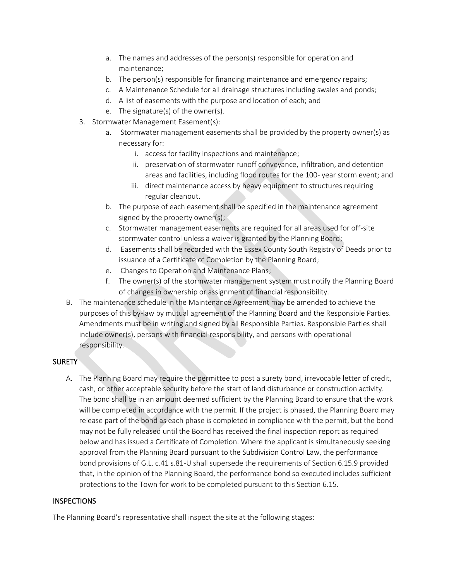- a. The names and addresses of the person(s) responsible for operation and maintenance;
- b. The person(s) responsible for financing maintenance and emergency repairs;
- c. A Maintenance Schedule for all drainage structures including swales and ponds;
- d. A list of easements with the purpose and location of each; and
- e. The signature(s) of the owner(s).
- 3. Stormwater Management Easement(s):
	- a. Stormwater management easements shall be provided by the property owner(s) as necessary for:
		- i. access for facility inspections and maintenance;
		- ii. preservation of stormwater runoff conveyance, infiltration, and detention areas and facilities, including flood routes for the 100- year storm event; and
		- iii. direct maintenance access by heavy equipment to structures requiring regular cleanout.
	- b. The purpose of each easement shall be specified in the maintenance agreement signed by the property owner(s);
	- c. Stormwater management easements are required for all areas used for off-site stormwater control unless a waiver is granted by the Planning Board;
	- d. Easements shall be recorded with the Essex County South Registry of Deeds prior to issuance of a Certificate of Completion by the Planning Board;
	- e. Changes to Operation and Maintenance Plans;
	- f. The owner(s) of the stormwater management system must notify the Planning Board of changes in ownership or assignment of financial responsibility.
- B. The maintenance schedule in the Maintenance Agreement may be amended to achieve the purposes of this by-law by mutual agreement of the Planning Board and the Responsible Parties. Amendments must be in writing and signed by all Responsible Parties. Responsible Parties shall include owner(s), persons with financial responsibility, and persons with operational responsibility.

# SURETY

A. The Planning Board may require the permittee to post a surety bond, irrevocable letter of credit, cash, or other acceptable security before the start of land disturbance or construction activity. The bond shall be in an amount deemed sufficient by the Planning Board to ensure that the work will be completed in accordance with the permit. If the project is phased, the Planning Board may release part of the bond as each phase is completed in compliance with the permit, but the bond may not be fully released until the Board has received the final inspection report as required below and has issued a Certificate of Completion. Where the applicant is simultaneously seeking approval from the Planning Board pursuant to the Subdivision Control Law, the performance bond provisions of G.L. c.41 s.81-U shall supersede the requirements of Section 6.15.9 provided that, in the opinion of the Planning Board, the performance bond so executed includes sufficient protections to the Town for work to be completed pursuant to this Section 6.15.

## **INSPECTIONS**

The Planning Board's representative shall inspect the site at the following stages: